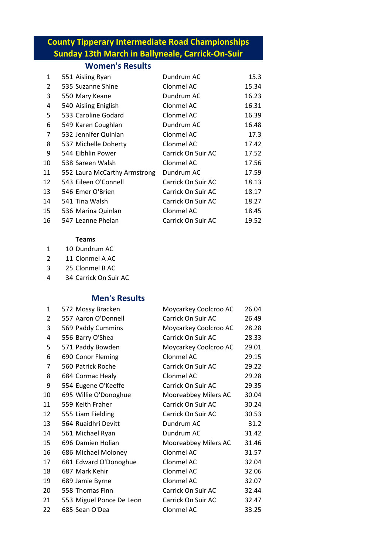# **County Tipperary Intermediate Road Championships Sunday 13th March in Ballyneale, Carrick-On-Suir**

# **Women's Results**

| $\mathbf{1}$   | 551 Aisling Ryan             | Dundrum AC         | 15.3  |
|----------------|------------------------------|--------------------|-------|
| $\overline{2}$ | 535 Suzanne Shine            | Clonmel AC         | 15.34 |
| 3              | 550 Mary Keane               | Dundrum AC         | 16.23 |
| 4              | 540 Aisling Eniglish         | Clonmel AC         | 16.31 |
| 5              | 533 Caroline Godard          | Clonmel AC         | 16.39 |
| 6              | 549 Karen Coughlan           | Dundrum AC         | 16.48 |
| 7              | 532 Jennifer Quinlan         | Clonmel AC         | 17.3  |
| 8              | 537 Michelle Doherty         | Clonmel AC         | 17.42 |
| 9              | 544 Eibhlin Power            | Carrick On Suir AC | 17.52 |
| 10             | 538 Sareen Walsh             | Clonmel AC         | 17.56 |
| 11             | 552 Laura McCarthy Armstrong | Dundrum AC         | 17.59 |
| 12             | 543 Eileen O'Connell         | Carrick On Suir AC | 18.13 |
| 13             | 546 Emer O'Brien             | Carrick On Suir AC | 18.17 |
| 14             | 541 Tina Walsh               | Carrick On Suir AC | 18.27 |
| 15             | 536 Marina Quinlan           | Clonmel AC         | 18.45 |
| 16             | 547 Leanne Phelan            | Carrick On Suir AC | 19.52 |

#### **Teams**

- 10 Dundrum AC
- 11 Clonmel A AC
- 25 Clonmel B AC
- 34 Carrick On Suir AC

## **Men's Results**

| $\mathbf{1}$   | 572 Mossy Bracken        | Moycarkey Coolcroo AC | 26.04 |
|----------------|--------------------------|-----------------------|-------|
| $\overline{2}$ | 557 Aaron O'Donnell      | Carrick On Suir AC    | 26.49 |
| 3              | 569 Paddy Cummins        | Moycarkey Coolcroo AC | 28.28 |
| 4              | 556 Barry O'Shea         | Carrick On Suir AC    | 28.33 |
| 5              | 571 Paddy Bowden         | Moycarkey Coolcroo AC | 29.01 |
| 6              | 690 Conor Fleming        | Clonmel AC            | 29.15 |
| 7              | 560 Patrick Roche        | Carrick On Suir AC    | 29.22 |
| 8              | 684 Cormac Healy         | Clonmel AC            | 29.28 |
| 9              | 554 Eugene O'Keeffe      | Carrick On Suir AC    | 29.35 |
| 10             | 695 Willie O'Donoghue    | Mooreabbey Milers AC  | 30.04 |
| 11             | 559 Keith Fraher         | Carrick On Suir AC    | 30.24 |
| 12             | 555 Liam Fielding        | Carrick On Suir AC    | 30.53 |
| 13             | 564 Ruaidhri Devitt      | Dundrum AC            | 31.2  |
| 14             | 561 Michael Ryan         | Dundrum AC            | 31.42 |
| 15             | 696 Damien Holian        | Mooreabbey Milers AC  | 31.46 |
| 16             | 686 Michael Moloney      | Clonmel AC            | 31.57 |
| 17             | 681 Edward O'Donoghue    | Clonmel AC            | 32.04 |
| 18             | 687 Mark Kehir           | Clonmel AC            | 32.06 |
| 19             | 689 Jamie Byrne          | Clonmel AC            | 32.07 |
| 20             | 558 Thomas Finn          | Carrick On Suir AC    | 32.44 |
| 21             | 553 Miguel Ponce De Leon | Carrick On Suir AC    | 32.47 |
| 22             | 685 Sean O'Dea           | Clonmel AC            | 33.25 |